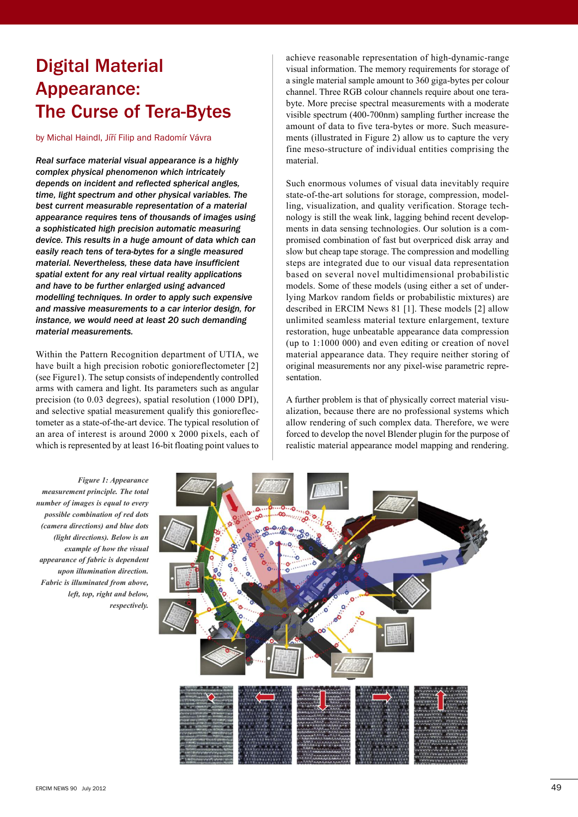## Digital Material Appearance: **The Curse of Tera-Bytes**

by Michal Haindl, Jíří Filip and Radomír Vávra

*Real surface material visual appearance is a highly complex physical phenomenon which intricately depends on incident and reflected spherical angles, time, light spectrum and other physical variables. The best current measurable representation of a material appearance requires tens of thousands of images using a sophisticated high precision automatic measuring device. This results in a huge amount of data which can easily reach tens of tera-bytes for a single measured material. Nevertheless, these data have insufficient spatial extent for any real virtual reality applications and have to be further enlarged using advanced modelling techniques. In order to apply such expensive and massive measurements to a car interior design, for instance, we would need at least 20 such demanding material measurements.*

Within the Pattern Recognition department of UTIA, we have built a high precision robotic gonioreflectometer [2] (see Figure1). The setup consists of independently controlled arms with camera and light. Its parameters such as angular precision (to 0.03 degrees), spatial resolution (1000 DPI), and selective spatial measurement qualify this gonioreflectometer as a state-of-the-art device. The typical resolution of an area of interest is around 2000 x 2000 pixels, each of which is represented by at least 16-bit floating point values to

achieve reasonable representation of high-dynamic-range visual information. The memory requirements for storage of a single material sample amount to 360 giga-bytes per colour channel. Three RGB colour channels require about one terabyte. More precise spectral measurements with a moderate visible spectrum (400-700nm) sampling further increase the amount of data to five tera-bytes or more. Such measurements (illustrated in Figure 2) allow us to capture the very fine meso-structure of individual entities comprising the material.

Such enormous volumes of visual data inevitably require state-of-the-art solutions for storage, compression, modelling, visualization, and quality verification. Storage technology is still the weak link, lagging behind recent developments in data sensing technologies. Our solution is a compromised combination of fast but overpriced disk array and slow but cheap tape storage. The compression and modelling steps are integrated due to our visual data representation based on several novel multidimensional probabilistic models. Some of these models (using either a set of underlying Markov random fields or probabilistic mixtures) are described in ERCIM News 81 [1]. These models [2] allow unlimited seamless material texture enlargement, texture restoration, huge unbeatable appearance data compression (up to 1:1000 000) and even editing or creation of novel material appearance data. They require neither storing of original measurements nor any pixel-wise parametric representation.

A further problem is that of physically correct material visualization, because there are no professional systems which allow rendering of such complex data. Therefore, we were forced to develop the novel Blender plugin for the purpose of realistic material appearance model mapping and rendering.

*Figure 1: Appearance measurement principle. The total number of images is equal to every possible combination of red dots (camera directions) and blue dots (light directions). Below is an example of how the visual appearance of fabric is dependent upon illumination direction. Fabric is illuminated from above, left, top, right and below, respectively.*